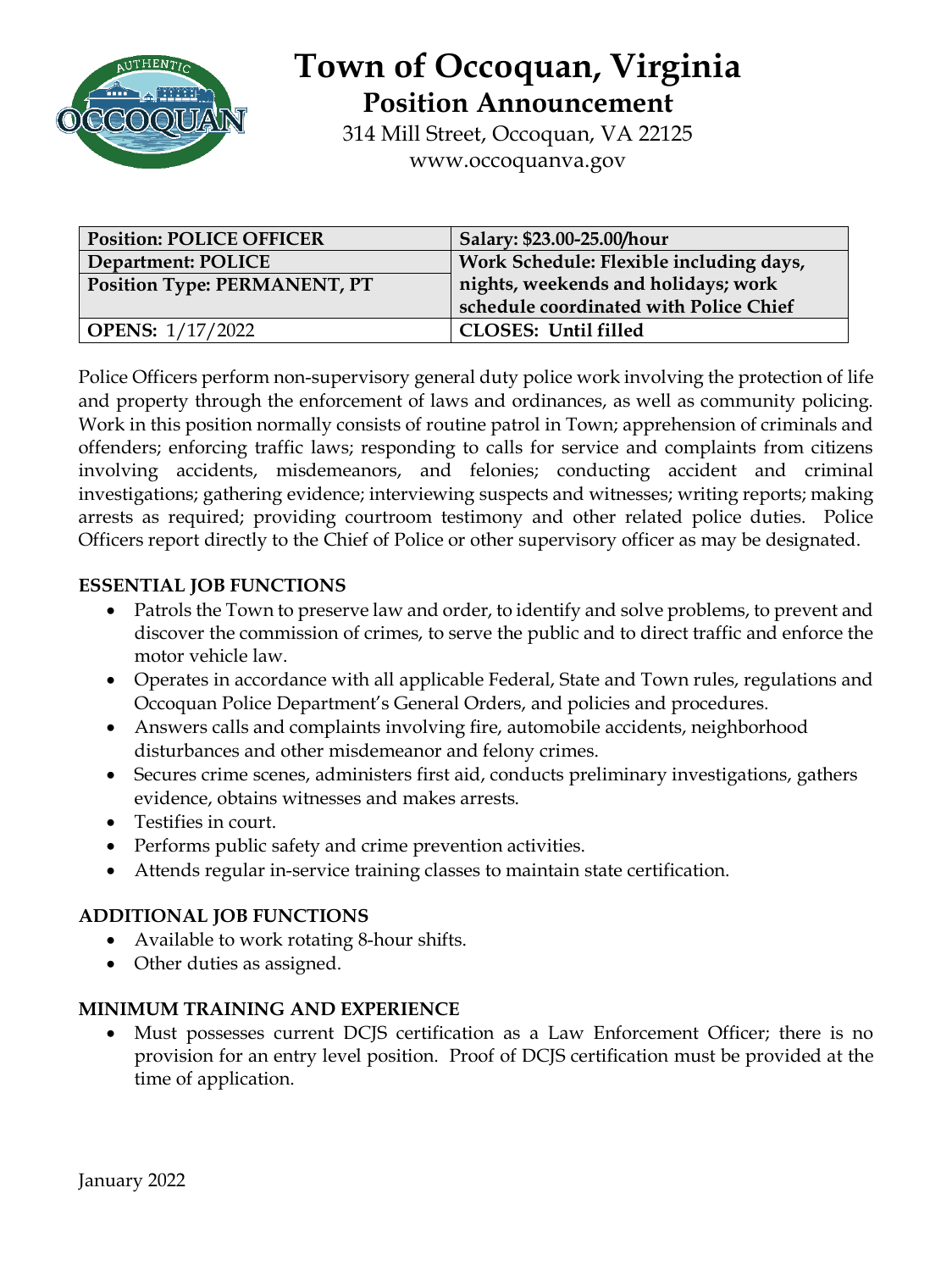

# **Town of Occoquan, Virginia Position Announcement**

314 Mill Street, Occoquan, VA 22125 www.occoquanva.gov

| <b>Position: POLICE OFFICER</b>     | Salary: \$23.00-25.00/hour              |
|-------------------------------------|-----------------------------------------|
| Department: POLICE                  | Work Schedule: Flexible including days, |
| <b>Position Type: PERMANENT, PT</b> | nights, weekends and holidays; work     |
|                                     | schedule coordinated with Police Chief  |
| <b>OPENS:</b> 1/17/2022             | <b>CLOSES: Until filled</b>             |

Police Officers perform non-supervisory general duty police work involving the protection of life and property through the enforcement of laws and ordinances, as well as community policing. Work in this position normally consists of routine patrol in Town; apprehension of criminals and offenders; enforcing traffic laws; responding to calls for service and complaints from citizens involving accidents, misdemeanors, and felonies; conducting accident and criminal investigations; gathering evidence; interviewing suspects and witnesses; writing reports; making arrests as required; providing courtroom testimony and other related police duties. Police Officers report directly to the Chief of Police or other supervisory officer as may be designated.

### **ESSENTIAL JOB FUNCTIONS**

- Patrols the Town to preserve law and order, to identify and solve problems, to prevent and discover the commission of crimes, to serve the public and to direct traffic and enforce the motor vehicle law.
- Operates in accordance with all applicable Federal, State and Town rules, regulations and Occoquan Police Department's General Orders, and policies and procedures.
- Answers calls and complaints involving fire, automobile accidents, neighborhood disturbances and other misdemeanor and felony crimes.
- Secures crime scenes, administers first aid, conducts preliminary investigations, gathers evidence, obtains witnesses and makes arrests.
- Testifies in court.
- Performs public safety and crime prevention activities.
- Attends regular in-service training classes to maintain state certification.

#### **ADDITIONAL JOB FUNCTIONS**

- Available to work rotating 8-hour shifts.
- Other duties as assigned.

#### **MINIMUM TRAINING AND EXPERIENCE**

• Must possesses current DCJS certification as a Law Enforcement Officer; there is no provision for an entry level position. Proof of DCJS certification must be provided at the time of application.